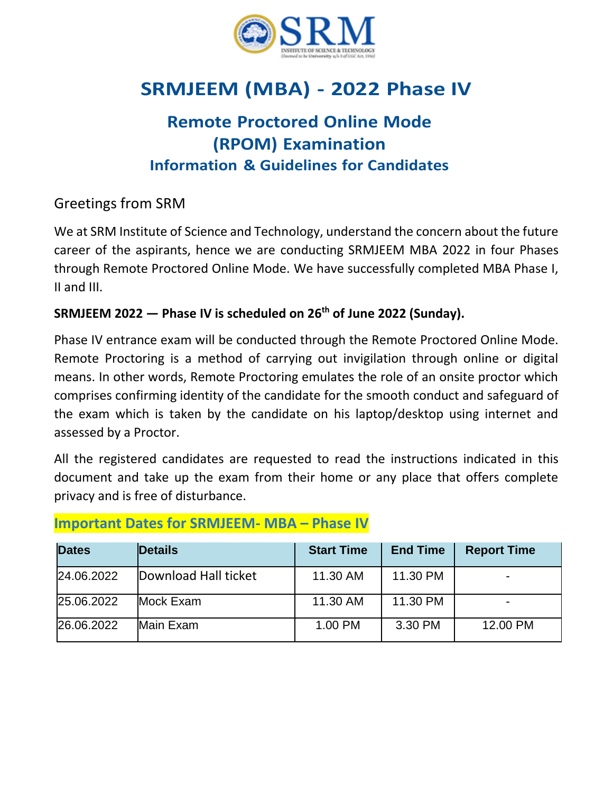

# **SRMJEEM (MBA) - 2022 Phase IV**

# **Remote Proctored Online Mode (RPOM) Examination Information & Guidelines for Candidates**

### Greetings from SRM

We at SRM Institute of Science and Technology, understand the concern about the future career of the aspirants, hence we are conducting SRMJEEM MBA 2022 in four Phases through Remote Proctored Online Mode. We have successfully completed MBA Phase I, II and III.

#### **SRMJEEM 2022 — Phase IV is scheduled on 26th of June 2022 (Sunday).**

Phase IV entrance exam will be conducted through the Remote Proctored Online Mode. Remote Proctoring is a method of carrying out invigilation through online or digital means. In other words, Remote Proctoring emulates the role of an onsite proctor which comprises confirming identity of the candidate for the smooth conduct and safeguard of the exam which is taken by the candidate on his laptop/desktop using internet and assessed by a Proctor.

All the registered candidates are requested to read the instructions indicated in this document and take up the exam from their home or any place that offers complete privacy and is free of disturbance.

| <b>Dates</b> | <b>Details</b>       | <b>Start Time</b> | <b>End Time</b> | <b>Report Time</b> |
|--------------|----------------------|-------------------|-----------------|--------------------|
| 24.06.2022   | Download Hall ticket | 11.30 AM          | 11.30 PM        |                    |
| 25.06.2022   | Mock Exam            | 11.30 AM          | 11.30 PM        |                    |
| 26.06.2022   | Main Exam            | 1.00 PM           | 3.30 PM         | 12.00 PM           |

### **Important Dates for SRMJEEM- MBA – Phase IV**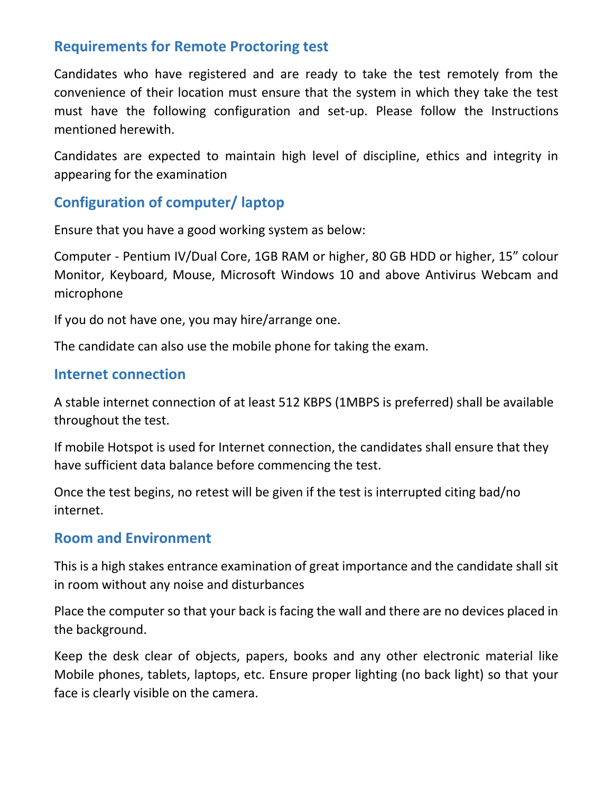### **Requirements for Remote Proctoring test**

Candidates who have registered and are ready to take the test remotely from the convenience of their location must ensure that the system in which they take the test must have the following configuration and set-up. Please follow the Instructions mentioned herewith.

Candidates are expected to maintain high level of discipline, ethics and integrity in appearing for the examination

### **Configuration of computer/ laptop**

Ensure that you have a good working system as below:

Computer - Pentium IV/Dual Core, 1GB RAM or higher, 80 GB HDD or higher, 15" colour Monitor, Keyboard, Mouse, Microsoft Windows 10 and above Antivirus Webcam and microphone

If you do not have one, you may hire/arrange one.

The candidate can also use the mobile phone for taking the exam.

#### **Internet connection**

A stable internet connection of at least 512 KBPS (1MBPS is preferred) shall be available throughout the test.

If mobile Hotspot is used for Internet connection, the candidates shall ensure that they have sufficient data balance before commencing the test.

Once the test begins, no retest will be given if the test is interrupted citing bad/no internet.

#### **Room and Environment**

This is a high stakes entrance examination of great importance and the candidate shall sit in room without any noise and disturbances

Place the computer so that your back is facing the wall and there are no devices placed in the background.

Keep the desk clear of objects, papers, books and any other electronic material like Mobile phones, tablets, laptops, etc. Ensure proper lighting (no back light) so that your face is clearly visible on the camera.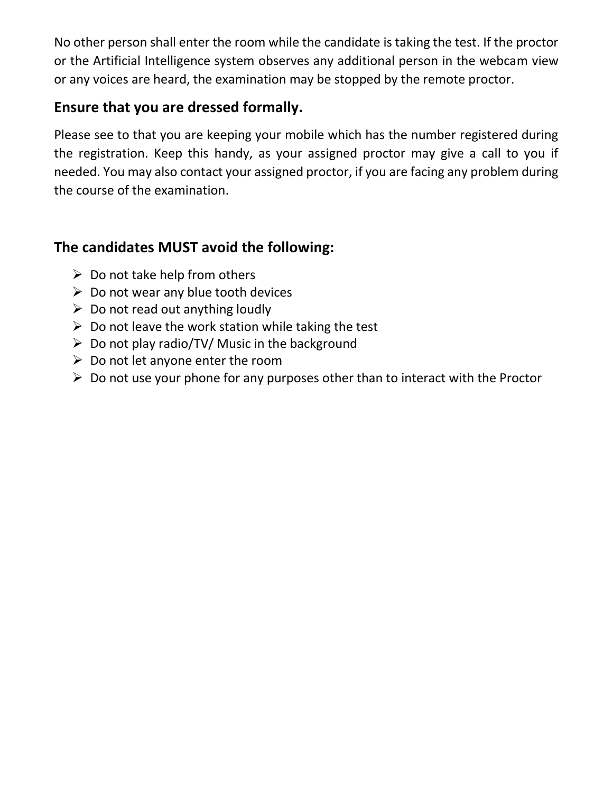No other person shall enter the room while the candidate is taking the test. If the proctor or the Artificial Intelligence system observes any additional person in the webcam view or any voices are heard, the examination may be stopped by the remote proctor.

### **Ensure that you are dressed formally.**

Please see to that you are keeping your mobile which has the number registered during the registration. Keep this handy, as your assigned proctor may give a call to you if needed. You may also contact your assigned proctor, if you are facing any problem during the course of the examination.

# **The candidates MUST avoid the following:**

- $\triangleright$  Do not take help from others
- $\triangleright$  Do not wear any blue tooth devices
- $\triangleright$  Do not read out anything loudly
- $\triangleright$  Do not leave the work station while taking the test
- $\triangleright$  Do not play radio/TV/ Music in the background
- $\triangleright$  Do not let anyone enter the room
- $\triangleright$  Do not use your phone for any purposes other than to interact with the Proctor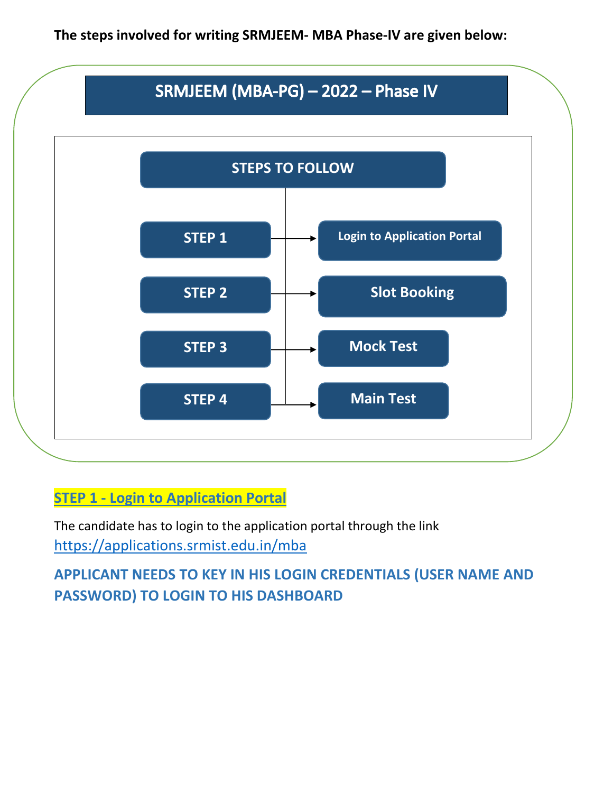**The steps involved for writing SRMJEEM- MBA Phase-IV are given below:**



# **STEP 1 - Login to Application Portal**

The candidate has to login to the application portal through the link <https://applications.srmist.edu.in/mba>

**APPLICANT NEEDS TO KEY IN HIS LOGIN CREDENTIALS (USER NAME AND PASSWORD) TO LOGIN TO HIS DASHBOARD**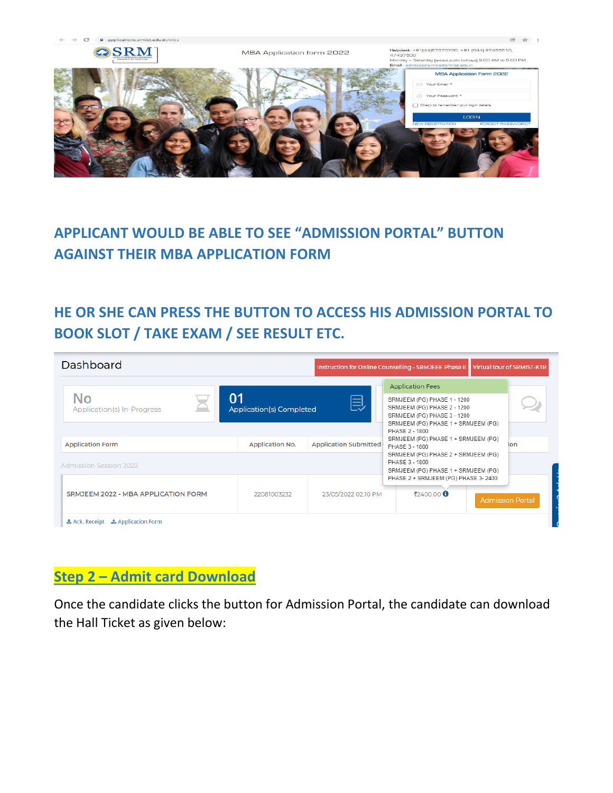

# **APPLICANT WOULD BE ABLE TO SEE "ADMISSION PORTAL" BUTTON AGAINST THEIR MBA APPLICATION FORM**

# **HE OR SHE CAN PRESS THE BUTTON TO ACCESS HIS ADMISSION PORTAL TO BOOK SLOT / TAKE EXAM / SEE RESULT ETC.**

| Dashboard                                   |                                                                                              |                              | Instruction for Online Counselling - SRMJEEE Phase II Virtual tour of SRMIST-KTR                                                                                                                                                              |  |                         |
|---------------------------------------------|----------------------------------------------------------------------------------------------|------------------------------|-----------------------------------------------------------------------------------------------------------------------------------------------------------------------------------------------------------------------------------------------|--|-------------------------|
| No<br>Application(s) In-Progress            | 01<br><b>Application(s) Completed</b>                                                        | 闫                            | <b>Application Fees</b><br>SRMJEEM (PG) PHASE 1 - 1200<br>SRMJEEM (PG) PHASE 2 - 1200<br>SRMJEEM (PG) PHASE 3 - 1200<br>SRMJEEM (PG) PHASE 1 + SRMJEEM (PG)<br>PHASE 2 - 1800<br>SRMJEEM (PG) PHASE 1 + SRMJEEM (PG)<br>ion<br>PHASE 3 - 1800 |  |                         |
| <b>Application Form</b>                     | <b>Application No.</b>                                                                       | <b>Application Submitted</b> |                                                                                                                                                                                                                                               |  |                         |
| <b>Admission Session 2022</b>               | SRMJEEM (PG) PHASE 2 + SRMJEEM (PG)<br>PHASE 3 - 1800<br>SRMJEEM (PG) PHASE 1 + SRMJEEM (PG) |                              |                                                                                                                                                                                                                                               |  |                         |
| SRMJEEM 2022 - MBA APPLICATION FORM         | 22081003232                                                                                  | 23/05/2022 02:10 PM          | PHASE 2 + SRMJEEM (PG) PHASE 3-2400<br>₹2400.00 <b>€</b>                                                                                                                                                                                      |  | <b>Admission Portal</b> |
| <b>上 Ack. Receipt</b><br>▲ Application Form |                                                                                              |                              |                                                                                                                                                                                                                                               |  |                         |

# **Step 2 – Admit card Download**

Once the candidate clicks the button for Admission Portal, the candidate can download the Hall Ticket as given below: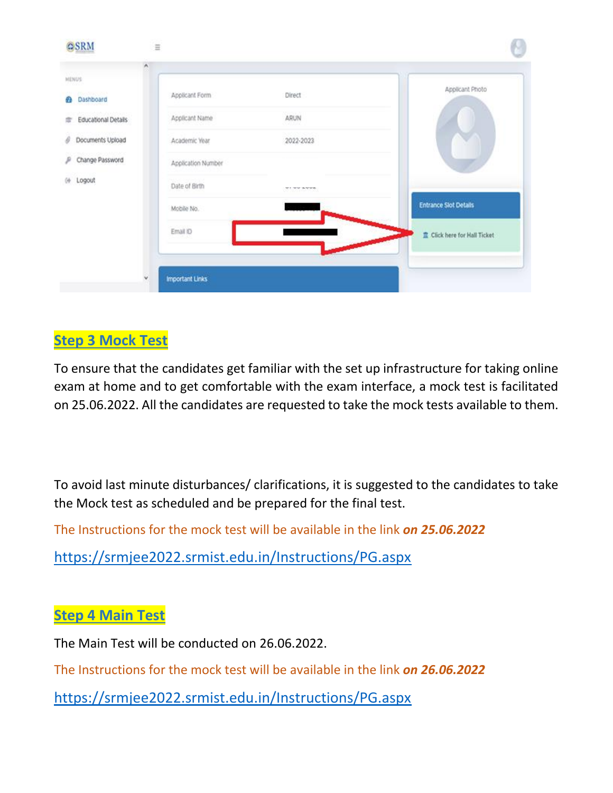| HENUS:                                           |                    |                | Applicant Photo              |
|--------------------------------------------------|--------------------|----------------|------------------------------|
| <b>DE L'ASSOUMENT VIEN</b><br><b>2</b> Dashboard | Applicant Form     | <b>Direct</b>  |                              |
| Educational Details                              | Applicant Name     | ARUN           |                              |
| Documents Upload                                 | Academic Year      | 2022-2023      |                              |
| Change Password                                  | Application Number |                |                              |
| (+ Logout                                        | Date of Birth      | ALL WAL WALKET |                              |
|                                                  | Mobile No.         |                | <b>Entrance Slot Details</b> |
|                                                  | Email ID           |                | Click here for Hall Ticket   |
|                                                  |                    |                |                              |

# **Step 3 Mock Test**

To ensure that the candidates get familiar with the set up infrastructure for taking online exam at home and to get comfortable with the exam interface, a mock test is facilitated on 25.06.2022. All the candidates are requested to take the mock tests available to them.

To avoid last minute disturbances/ clarifications, it is suggested to the candidates to take the Mock test as scheduled and be prepared for the final test.

The Instructions for the mock test will be available in the link *on 25.06.2022*

<https://srmjee2022.srmist.edu.in/Instructions/PG.aspx>

### **Step 4 Main Test**

The Main Test will be conducted on 26.06.2022.

The Instructions for the mock test will be available in the link *on 26.06.2022*

<https://srmjee2022.srmist.edu.in/Instructions/PG.aspx>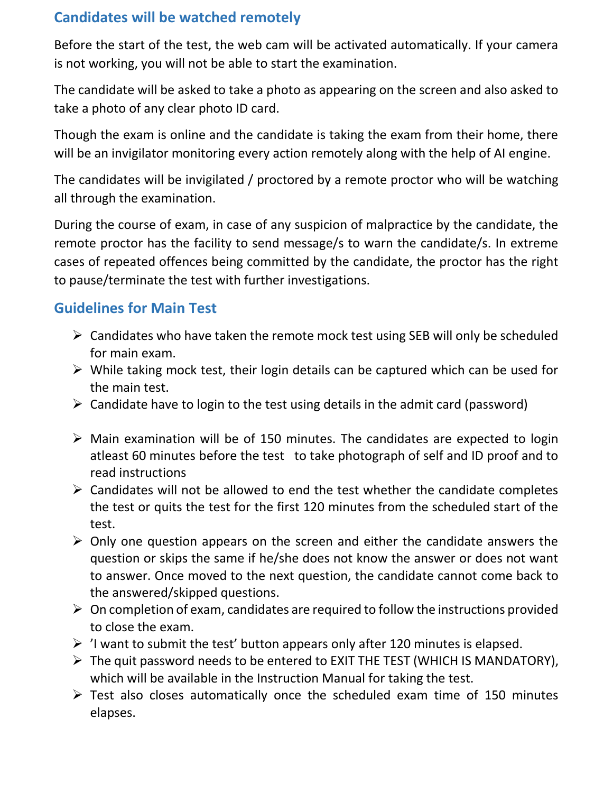# **Candidates will be watched remotely**

Before the start of the test, the web cam will be activated automatically. If your camera is not working, you will not be able to start the examination.

The candidate will be asked to take a photo as appearing on the screen and also asked to take a photo of any clear photo ID card.

Though the exam is online and the candidate is taking the exam from their home, there will be an invigilator monitoring every action remotely along with the help of AI engine.

The candidates will be invigilated / proctored by a remote proctor who will be watching all through the examination.

During the course of exam, in case of any suspicion of malpractice by the candidate, the remote proctor has the facility to send message/s to warn the candidate/s. In extreme cases of repeated offences being committed by the candidate, the proctor has the right to pause/terminate the test with further investigations.

### **Guidelines for Main Test**

- $\triangleright$  Candidates who have taken the remote mock test using SEB will only be scheduled for main exam.
- $\triangleright$  While taking mock test, their login details can be captured which can be used for the main test.
- $\triangleright$  Candidate have to login to the test using details in the admit card (password)
- $\triangleright$  Main examination will be of 150 minutes. The candidates are expected to login atleast 60 minutes before the test to take photograph of self and ID proof and to read instructions
- $\triangleright$  Candidates will not be allowed to end the test whether the candidate completes the test or quits the test for the first 120 minutes from the scheduled start of the test.
- $\triangleright$  Only one question appears on the screen and either the candidate answers the question or skips the same if he/she does not know the answer or does not want to answer. Once moved to the next question, the candidate cannot come back to the answered/skipped questions.
- $\triangleright$  On completion of exam, candidates are required to follow the instructions provided to close the exam.
- $\triangleright$  'I want to submit the test' button appears only after 120 minutes is elapsed.
- $\triangleright$  The quit password needs to be entered to EXIT THE TEST (WHICH IS MANDATORY), which will be available in the Instruction Manual for taking the test.
- $\triangleright$  Test also closes automatically once the scheduled exam time of 150 minutes elapses.